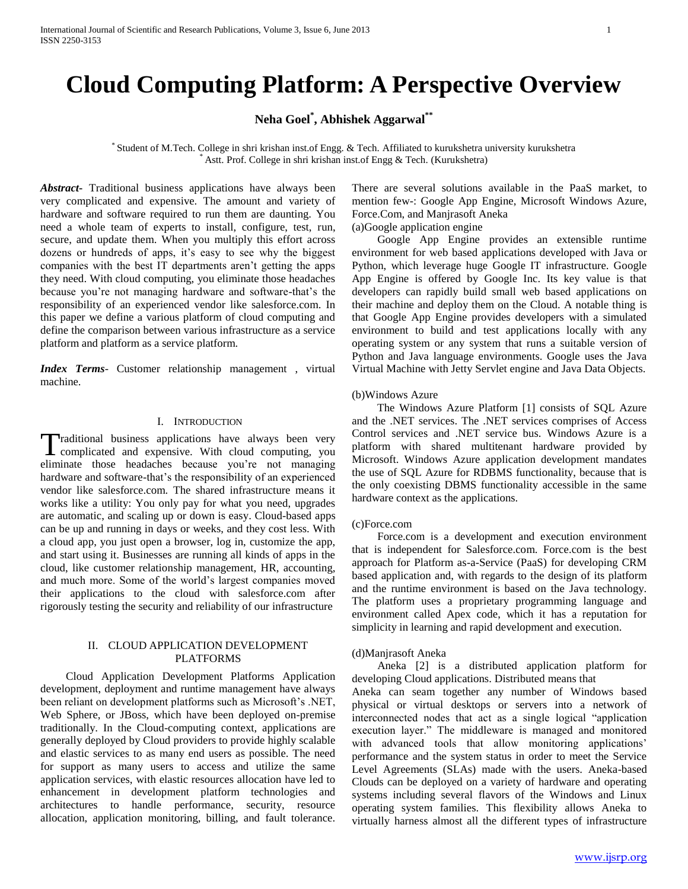# **Cloud Computing Platform: A Perspective Overview**

**Neha Goel\* , Abhishek Aggarwal\*\***

\* Student of M.Tech. College in shri krishan inst.of Engg. & Tech. Affiliated to kurukshetra university kurukshetra Astt. Prof. College in shri krishan inst.of Engg & Tech. (Kurukshetra)

*Abstract***-** Traditional business applications have always been very complicated and expensive. The amount and variety of hardware and software required to run them are daunting. You need a whole team of experts to install, configure, test, run, secure, and update them. When you multiply this effort across dozens or hundreds of apps, it's easy to see why the biggest companies with the best IT departments aren't getting the apps they need. With cloud computing, you eliminate those headaches because you're not managing hardware and software-that's the responsibility of an experienced vendor like salesforce.com. In this paper we define a various platform of cloud computing and define the comparison between various infrastructure as a service platform and platform as a service platform.

*Index Terms*- Customer relationship management , virtual machine.

## I. INTRODUCTION

Traditional business applications have always been very Traditional business applications have always been very complicated and expensive. With cloud computing, you eliminate those headaches because you're not managing hardware and software-that's the responsibility of an experienced vendor like salesforce.com. The shared infrastructure means it works like a utility: You only pay for what you need, upgrades are automatic, and scaling up or down is easy. Cloud-based apps can be up and running in days or weeks, and they cost less. With a cloud app, you just open a browser, log in, customize the app, and start using it. Businesses are running all kinds of apps in the cloud, like customer relationship management, HR, accounting, and much more. Some of the world's largest companies moved their applications to the cloud with salesforce.com after rigorously testing the security and reliability of our infrastructure

## II. CLOUD APPLICATION DEVELOPMENT PLATFORMS

 Cloud Application Development Platforms Application development, deployment and runtime management have always been reliant on development platforms such as Microsoft's .NET, Web Sphere, or JBoss, which have been deployed on-premise traditionally. In the Cloud-computing context, applications are generally deployed by Cloud providers to provide highly scalable and elastic services to as many end users as possible. The need for support as many users to access and utilize the same application services, with elastic resources allocation have led to enhancement in development platform technologies and architectures to handle performance, security, resource allocation, application monitoring, billing, and fault tolerance.

There are several solutions available in the PaaS market, to mention few-: Google App Engine, Microsoft Windows Azure, Force.Com, and Manjrasoft Aneka (a)Google application engine

 Google App Engine provides an extensible runtime environment for web based applications developed with Java or Python, which leverage huge Google IT infrastructure. Google App Engine is offered by Google Inc. Its key value is that developers can rapidly build small web based applications on their machine and deploy them on the Cloud. A notable thing is that Google App Engine provides developers with a simulated environment to build and test applications locally with any operating system or any system that runs a suitable version of Python and Java language environments. Google uses the Java Virtual Machine with Jetty Servlet engine and Java Data Objects.

#### (b)Windows Azure

 The Windows Azure Platform [1] consists of SQL Azure and the .NET services. The .NET services comprises of Access Control services and .NET service bus. Windows Azure is a platform with shared multitenant hardware provided by Microsoft. Windows Azure application development mandates the use of SQL Azure for RDBMS functionality, because that is the only coexisting DBMS functionality accessible in the same hardware context as the applications.

#### (c)Force.com

 Force.com is a development and execution environment that is independent for Salesforce.com. Force.com is the best approach for Platform as-a-Service (PaaS) for developing CRM based application and, with regards to the design of its platform and the runtime environment is based on the Java technology. The platform uses a proprietary programming language and environment called Apex code, which it has a reputation for simplicity in learning and rapid development and execution.

#### (d)Manjrasoft Aneka

 Aneka [2] is a distributed application platform for developing Cloud applications. Distributed means that

Aneka can seam together any number of Windows based physical or virtual desktops or servers into a network of interconnected nodes that act as a single logical "application execution layer." The middleware is managed and monitored with advanced tools that allow monitoring applications' performance and the system status in order to meet the Service Level Agreements (SLAs) made with the users. Aneka-based Clouds can be deployed on a variety of hardware and operating systems including several flavors of the Windows and Linux operating system families. This flexibility allows Aneka to virtually harness almost all the different types of infrastructure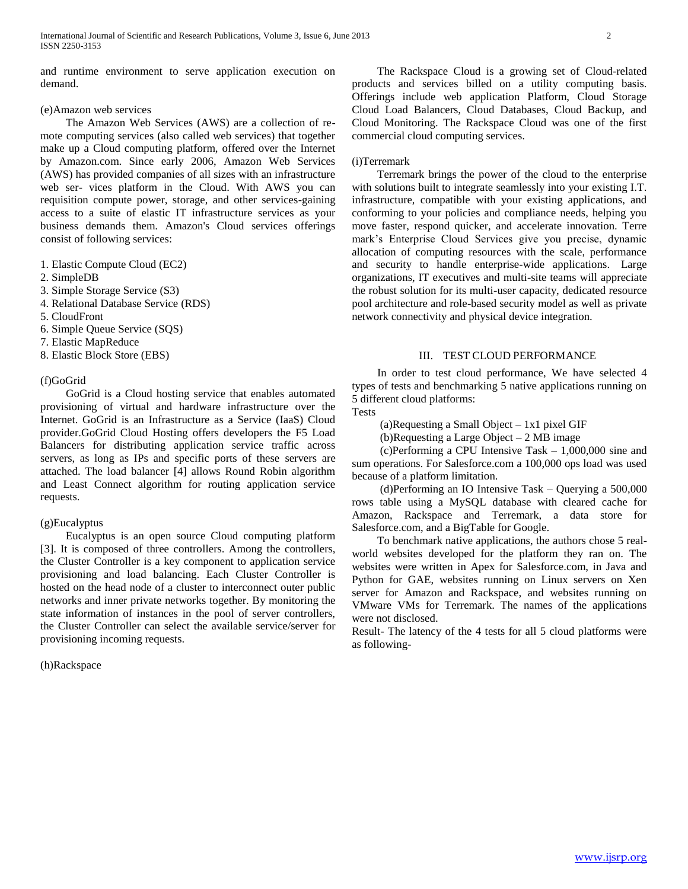and runtime environment to serve application execution on demand.

## (e)Amazon web services

 The Amazon Web Services (AWS) are a collection of remote computing services (also called web services) that together make up a Cloud computing platform, offered over the Internet by Amazon.com. Since early 2006, Amazon Web Services (AWS) has provided companies of all sizes with an infrastructure web ser- vices platform in the Cloud. With AWS you can requisition compute power, storage, and other services-gaining access to a suite of elastic IT infrastructure services as your business demands them. Amazon's Cloud services offerings consist of following services:

- 1. Elastic Compute Cloud (EC2)
- 2. SimpleDB
- 3. Simple Storage Service (S3)
- 4. Relational Database Service (RDS)
- 5. CloudFront
- 6. Simple Queue Service (SQS)
- 7. Elastic MapReduce
- 8. Elastic Block Store (EBS)

## (f)GoGrid

 GoGrid is a Cloud hosting service that enables automated provisioning of virtual and hardware infrastructure over the Internet. GoGrid is an Infrastructure as a Service (IaaS) Cloud provider.GoGrid Cloud Hosting offers developers the F5 Load Balancers for distributing application service traffic across servers, as long as IPs and specific ports of these servers are attached. The load balancer [4] allows Round Robin algorithm and Least Connect algorithm for routing application service requests.

## (g)Eucalyptus

 Eucalyptus is an open source Cloud computing platform [3]. It is composed of three controllers. Among the controllers, the Cluster Controller is a key component to application service provisioning and load balancing. Each Cluster Controller is hosted on the head node of a cluster to interconnect outer public networks and inner private networks together. By monitoring the state information of instances in the pool of server controllers, the Cluster Controller can select the available service/server for provisioning incoming requests.

(h)Rackspace

 The Rackspace Cloud is a growing set of Cloud-related products and services billed on a utility computing basis. Offerings include web application Platform, Cloud Storage Cloud Load Balancers, Cloud Databases, Cloud Backup, and Cloud Monitoring. The Rackspace Cloud was one of the first commercial cloud computing services.

#### (i)Terremark

 Terremark brings the power of the cloud to the enterprise with solutions built to integrate seamlessly into your existing I.T. infrastructure, compatible with your existing applications, and conforming to your policies and compliance needs, helping you move faster, respond quicker, and accelerate innovation. Terre mark's Enterprise Cloud Services give you precise, dynamic allocation of computing resources with the scale, performance and security to handle enterprise-wide applications. Large organizations, IT executives and multi-site teams will appreciate the robust solution for its multi-user capacity, dedicated resource pool architecture and role-based security model as well as private network connectivity and physical device integration.

## III. TEST CLOUD PERFORMANCE

 In order to test cloud performance, We have selected 4 types of tests and benchmarking 5 native applications running on 5 different cloud platforms: Tests

(a)Requesting a Small Object – 1x1 pixel GIF

(b)Requesting a Large Object – 2 MB image

 (c)Performing a CPU Intensive Task – 1,000,000 sine and sum operations. For Salesforce.com a 100,000 ops load was used because of a platform limitation.

 (d)Performing an IO Intensive Task – Querying a 500,000 rows table using a MySQL database with cleared cache for Amazon, Rackspace and Terremark, a data store for Salesforce.com, and a BigTable for Google.

 To benchmark native applications, the authors chose 5 realworld websites developed for the platform they ran on. The websites were written in Apex for Salesforce.com, in Java and Python for GAE, websites running on Linux servers on Xen server for Amazon and Rackspace, and websites running on VMware VMs for Terremark. The names of the applications were not disclosed.

Result- The latency of the 4 tests for all 5 cloud platforms were as following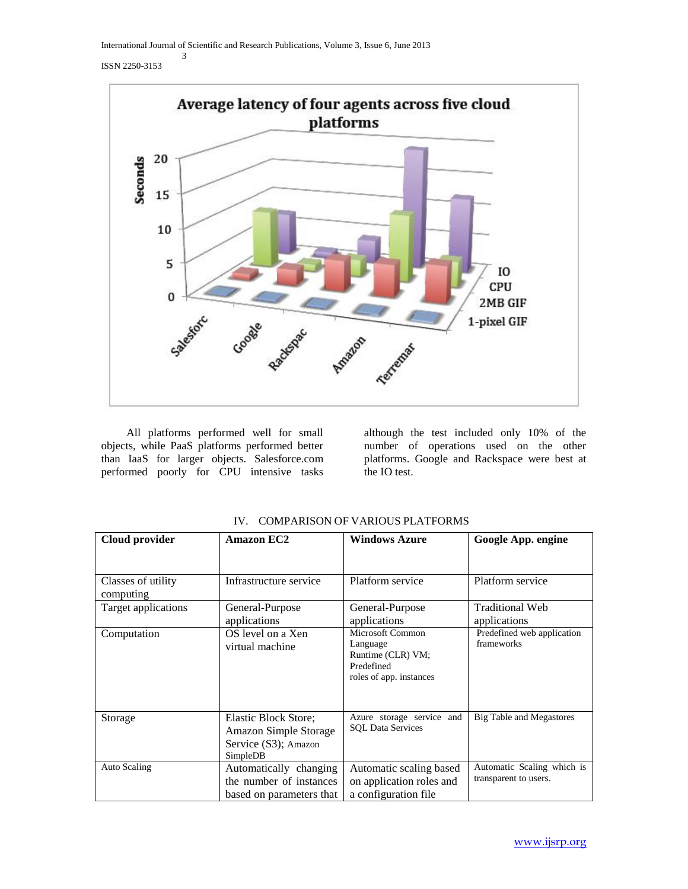International Journal of Scientific and Research Publications, Volume 3, Issue 6, June 2013 3

#### ISSN 2250-3153



 All platforms performed well for small objects, while PaaS platforms performed better than IaaS for larger objects. Salesforce.com performed poorly for CPU intensive tasks

although the test included only 10% of the number of operations used on the other platforms. Google and Rackspace were best at the IO test.

| Cloud provider                  | Amazon EC2                                                                               | <b>Windows Azure</b>                                                                       | Google App. engine                                  |
|---------------------------------|------------------------------------------------------------------------------------------|--------------------------------------------------------------------------------------------|-----------------------------------------------------|
| Classes of utility<br>computing | Infrastructure service                                                                   | Platform service                                                                           | Platform service                                    |
| Target applications             | General-Purpose<br>applications                                                          | General-Purpose<br>applications                                                            | <b>Traditional Web</b><br>applications              |
| Computation                     | OS level on a Xen<br>virtual machine                                                     | Microsoft Common<br>Language<br>Runtime (CLR) VM;<br>Predefined<br>roles of app. instances | Predefined web application<br>frameworks            |
| Storage                         | Elastic Block Store;<br><b>Amazon Simple Storage</b><br>Service (S3); Amazon<br>SimpleDB | Azure storage service and<br><b>SQL Data Services</b>                                      | Big Table and Megastores                            |
| Auto Scaling                    | Automatically changing<br>the number of instances<br>based on parameters that            | Automatic scaling based<br>on application roles and<br>a configuration file                | Automatic Scaling which is<br>transparent to users. |

IV. COMPARISON OF VARIOUS PLATFORMS